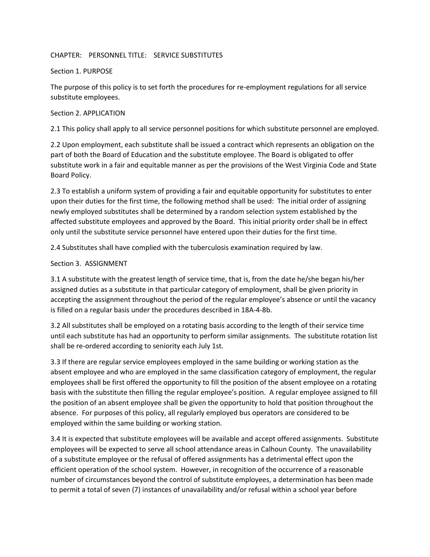## CHAPTER: PERSONNEL TITLE: SERVICE SUBSTITUTES

## Section 1. PURPOSE

The purpose of this policy is to set forth the procedures for re-employment regulations for all service substitute employees.

## Section 2. APPLICATION

2.1 This policy shall apply to all service personnel positions for which substitute personnel are employed.

2.2 Upon employment, each substitute shall be issued a contract which represents an obligation on the part of both the Board of Education and the substitute employee. The Board is obligated to offer substitute work in a fair and equitable manner as per the provisions of the West Virginia Code and State Board Policy.

2.3 To establish a uniform system of providing a fair and equitable opportunity for substitutes to enter upon their duties for the first time, the following method shall be used: The initial order of assigning newly employed substitutes shall be determined by a random selection system established by the affected substitute employees and approved by the Board. This initial priority order shall be in effect only until the substitute service personnel have entered upon their duties for the first time.

2.4 Substitutes shall have complied with the tuberculosis examination required by law.

# Section 3. ASSIGNMENT

3.1 A substitute with the greatest length of service time, that is, from the date he/she began his/her assigned duties as a substitute in that particular category of employment, shall be given priority in accepting the assignment throughout the period of the regular employee's absence or until the vacancy is filled on a regular basis under the procedures described in 18A-4-8b.

3.2 All substitutes shall be employed on a rotating basis according to the length of their service time until each substitute has had an opportunity to perform similar assignments. The substitute rotation list shall be re-ordered according to seniority each July 1st.

3.3 If there are regular service employees employed in the same building or working station as the absent employee and who are employed in the same classification category of employment, the regular employees shall be first offered the opportunity to fill the position of the absent employee on a rotating basis with the substitute then filling the regular employee's position. A regular employee assigned to fill the position of an absent employee shall be given the opportunity to hold that position throughout the absence. For purposes of this policy, all regularly employed bus operators are considered to be employed within the same building or working station.

3.4 It is expected that substitute employees will be available and accept offered assignments. Substitute employees will be expected to serve all school attendance areas in Calhoun County. The unavailability of a substitute employee or the refusal of offered assignments has a detrimental effect upon the efficient operation of the school system. However, in recognition of the occurrence of a reasonable number of circumstances beyond the control of substitute employees, a determination has been made to permit a total of seven (7) instances of unavailability and/or refusal within a school year before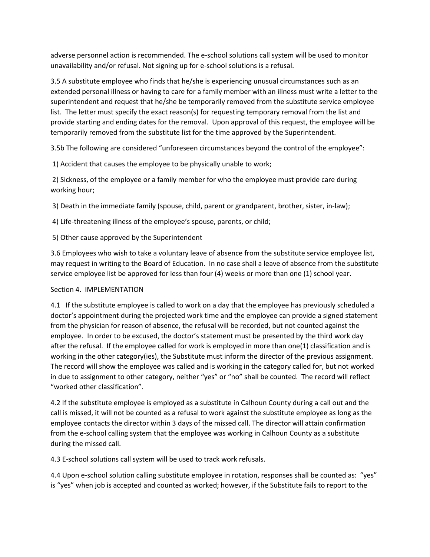adverse personnel action is recommended. The e-school solutions call system will be used to monitor unavailability and/or refusal. Not signing up for e-school solutions is a refusal.

3.5 A substitute employee who finds that he/she is experiencing unusual circumstances such as an extended personal illness or having to care for a family member with an illness must write a letter to the superintendent and request that he/she be temporarily removed from the substitute service employee list. The letter must specify the exact reason(s) for requesting temporary removal from the list and provide starting and ending dates for the removal. Upon approval of this request, the employee will be temporarily removed from the substitute list for the time approved by the Superintendent.

3.5b The following are considered "unforeseen circumstances beyond the control of the employee":

1) Accident that causes the employee to be physically unable to work;

2) Sickness, of the employee or a family member for who the employee must provide care during working hour;

3) Death in the immediate family (spouse, child, parent or grandparent, brother, sister, in-law);

4) Life-threatening illness of the employee's spouse, parents, or child;

5) Other cause approved by the Superintendent

3.6 Employees who wish to take a voluntary leave of absence from the substitute service employee list, may request in writing to the Board of Education. In no case shall a leave of absence from the substitute service employee list be approved for less than four (4) weeks or more than one (1) school year.

# Section 4. IMPLEMENTATION

4.1 If the substitute employee is called to work on a day that the employee has previously scheduled a doctor's appointment during the projected work time and the employee can provide a signed statement from the physician for reason of absence, the refusal will be recorded, but not counted against the employee. In order to be excused, the doctor's statement must be presented by the third work day after the refusal. If the employee called for work is employed in more than one(1) classification and is working in the other category(ies), the Substitute must inform the director of the previous assignment. The record will show the employee was called and is working in the category called for, but not worked in due to assignment to other category, neither "yes" or "no" shall be counted. The record will reflect "worked other classification".

4.2 If the substitute employee is employed as a substitute in Calhoun County during a call out and the call is missed, it will not be counted as a refusal to work against the substitute employee as long as the employee contacts the director within 3 days of the missed call. The director will attain confirmation from the e-school calling system that the employee was working in Calhoun County as a substitute during the missed call.

4.3 E-school solutions call system will be used to track work refusals.

4.4 Upon e-school solution calling substitute employee in rotation, responses shall be counted as: "yes" is "yes" when job is accepted and counted as worked; however, if the Substitute fails to report to the